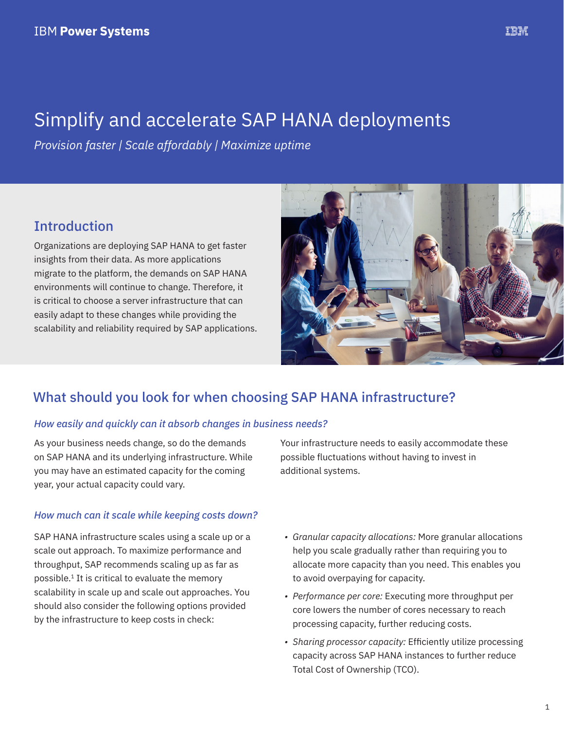# Simplify and accelerate SAP HANA deployments

*Provision faster | Scale affordably | Maximize uptime*

# Introduction

Organizations are deploying SAP HANA to get faster insights from their data. As more applications migrate to the platform, the demands on SAP HANA environments will continue to change. Therefore, it is critical to choose a server infrastructure that can easily adapt to these changes while providing the scalability and reliability required by SAP applications.



# What should you look for when choosing SAP HANA infrastructure?

#### *How easily and quickly can it absorb changes in business needs?*

As your business needs change, so do the demands on SAP HANA and its underlying infrastructure. While you may have an estimated capacity for the coming year, your actual capacity could vary.

#### *How much can it scale while keeping costs down?*

SAP HANA infrastructure scales using a scale up or a scale out approach. To maximize performance and throughput, SAP recommends scaling up as far as possible.1 It is critical to evaluate the memory scalability in scale up and scale out approaches. You should also consider the following options provided by the infrastructure to keep costs in check:

Your infrastructure needs to easily accommodate these possible fluctuations without having to invest in additional systems.

- *• Granular capacity allocations:* More granular allocations help you scale gradually rather than requiring you to allocate more capacity than you need. This enables you to avoid overpaying for capacity.
- *• Performance per core:* Executing more throughput per core lowers the number of cores necessary to reach processing capacity, further reducing costs.
- *• Sharing processor capacity:* Efficiently utilize processing capacity across SAP HANA instances to further reduce Total Cost of Ownership (TCO).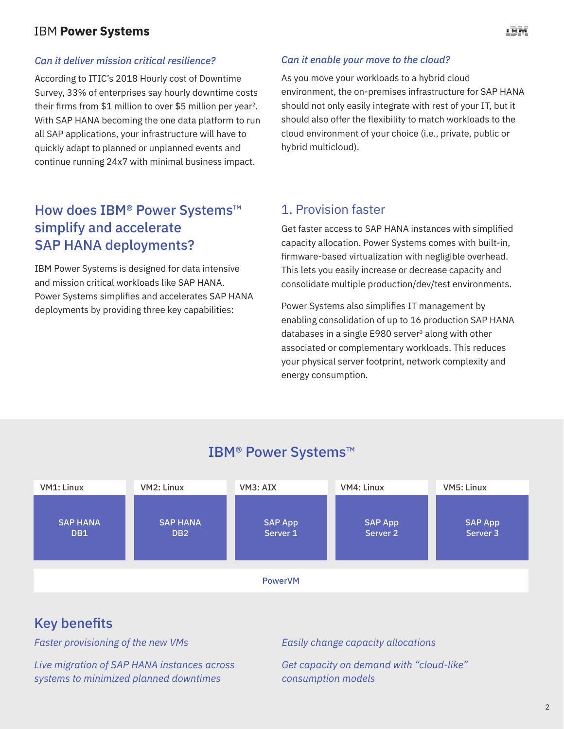### **IBM Power Systems**

#### *Can it deliver mission critical resilience?*

According to ITIC's 2018 Hourly cost of Downtime Survey, 33% of enterprises say hourly downtime costs their firms from \$1 million to over \$5 million per year2. With SAP HANA becoming the one data platform to run all SAP applications, your infrastructure will have to quickly adapt to planned or unplanned events and continue running 24x7 with minimal business impact.

# How does IBM<sup>®</sup> Power Systems<sup>™</sup> simplify and accelerate SAP HANA deployments?

IBM Power Systems is designed for data intensive and mission critical workloads like SAP HANA. Power Systems simplifies and accelerates SAP HANA deployments by providing three key capabilities:

#### *Can it enable your move to the cloud?*

As you move your workloads to a hybrid cloud environment, the on-premises infrastructure for SAP HANA should not only easily integrate with rest of your IT, but it should also offer the flexibility to match workloads to the cloud environment of your choice (i.e., private, public or hybrid multicloud).

#### 1. Provision faster

Get faster access to SAP HANA instances with simplified capacity allocation. Power Systems comes with built-in, firmware-based virtualization with negligible overhead. This lets you easily increase or decrease capacity and consolidate multiple production/dev/test environments.

Power Systems also simplifies IT management by enabling consolidation of up to 16 production SAP HANA databases in a single E980 server<sup>3</sup> along with other associated or complementary workloads. This reduces your physical server footprint, network complexity and energy consumption.



IBM® Power Systems™

*Live migration of SAP HANA instances across systems to minimized planned downtimes*

*Easily change capacity allocations* 

*Get capacity on demand with "cloud-like" consumption models*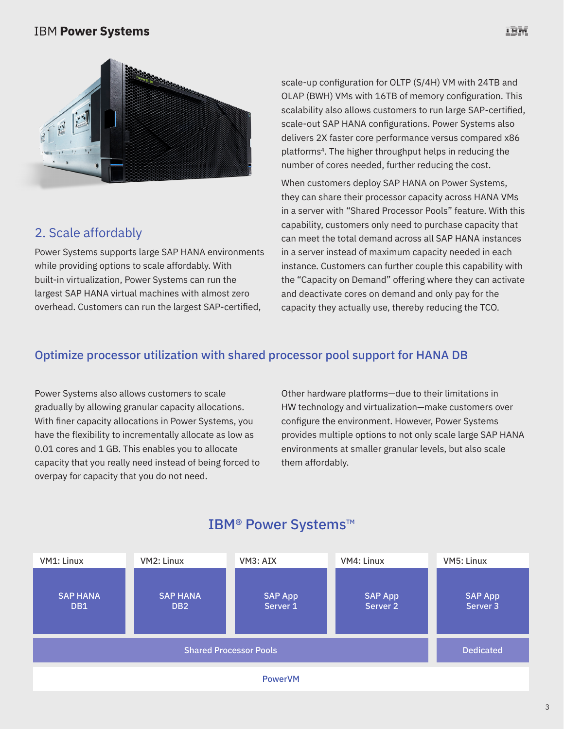#### **IBM Power Systems**



# 2. Scale affordably

Power Systems supports large SAP HANA environments while providing options to scale affordably. With built-in virtualization, Power Systems can run the largest SAP HANA virtual machines with almost zero overhead. Customers can run the largest SAP-certified,

scale-up configuration for OLTP (S/4H) VM with 24TB and OLAP (BWH) VMs with 16TB of memory configuration. This scalability also allows customers to run large SAP-certified, scale-out SAP HANA configurations. Power Systems also delivers 2X faster core performance versus compared x86 platforms<sup>4</sup>. The higher throughput helps in reducing the number of cores needed, further reducing the cost.

When customers deploy SAP HANA on Power Systems, they can share their processor capacity across HANA VMs in a server with "Shared Processor Pools" feature. With this capability, customers only need to purchase capacity that can meet the total demand across all SAP HANA instances in a server instead of maximum capacity needed in each instance. Customers can further couple this capability with the "Capacity on Demand" offering where they can activate and deactivate cores on demand and only pay for the capacity they actually use, thereby reducing the TCO.

#### Optimize processor utilization with shared processor pool support for HANA DB

Power Systems also allows customers to scale gradually by allowing granular capacity allocations. With finer capacity allocations in Power Systems, you have the flexibility to incrementally allocate as low as 0.01 cores and 1 GB. This enables you to allocate capacity that you really need instead of being forced to overpay for capacity that you do not need.

Other hardware platforms—due to their limitations in HW technology and virtualization—make customers over configure the environment. However, Power Systems provides multiple options to not only scale large SAP HANA environments at smaller granular levels, but also scale them affordably.



# IBM® Power Systems™